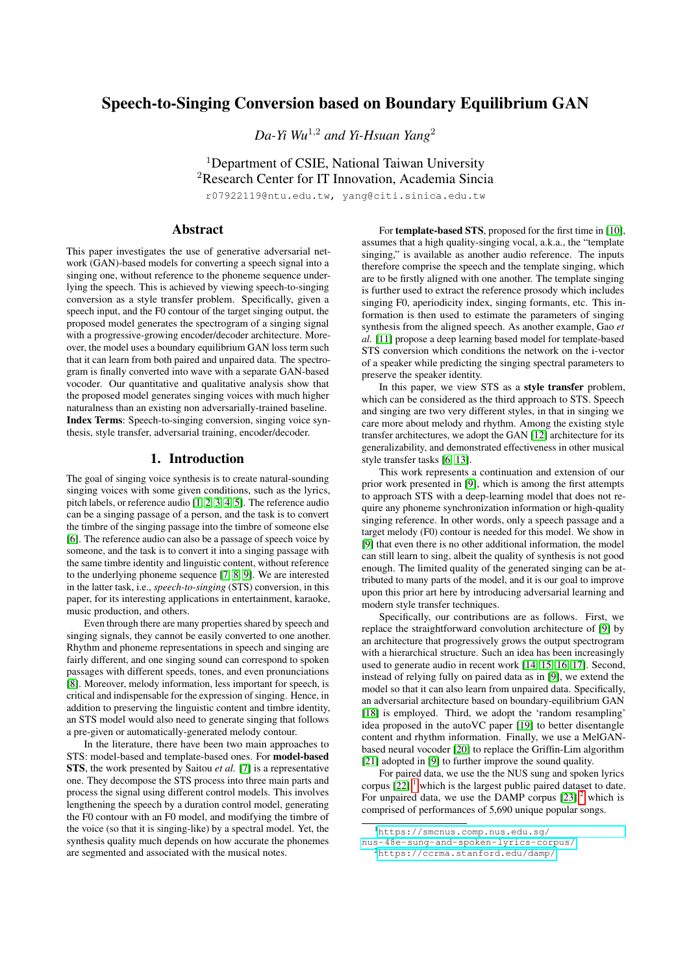# Speech-to-Singing Conversion based on Boundary Equilibrium GAN

*Da-Yi Wu*<sup>1</sup>,<sup>2</sup> *and Yi-Hsuan Yang*<sup>2</sup>

<sup>1</sup>Department of CSIE, National Taiwan University <sup>2</sup>Research Center for IT Innovation, Academia Sincia

r07922119@ntu.edu.tw, yang@citi.sinica.edu.tw

## Abstract

This paper investigates the use of generative adversarial network (GAN)-based models for converting a speech signal into a singing one, without reference to the phoneme sequence underlying the speech. This is achieved by viewing speech-to-singing conversion as a style transfer problem. Specifically, given a speech input, and the F0 contour of the target singing output, the proposed model generates the spectrogram of a singing signal with a progressive-growing encoder/decoder architecture. Moreover, the model uses a boundary equilibrium GAN loss term such that it can learn from both paired and unpaired data. The spectrogram is finally converted into wave with a separate GAN-based vocoder. Our quantitative and qualitative analysis show that the proposed model generates singing voices with much higher naturalness than an existing non adversarially-trained baseline. Index Terms: Speech-to-singing conversion, singing voice synthesis, style transfer, adversarial training, encoder/decoder.

# 1. Introduction

The goal of singing voice synthesis is to create natural-sounding singing voices with some given conditions, such as the lyrics, pitch labels, or reference audio [\[1,](#page-4-0) [2,](#page-4-1) [3,](#page-4-2) [4,](#page-4-3) [5\]](#page-4-4). The reference audio can be a singing passage of a person, and the task is to convert the timbre of the singing passage into the timbre of someone else [\[6\]](#page-4-5). The reference audio can also be a passage of speech voice by someone, and the task is to convert it into a singing passage with the same timbre identity and linguistic content, without reference to the underlying phoneme sequence [\[7,](#page-4-6) [8,](#page-4-7) [9\]](#page-4-8). We are interested in the latter task, i.e., *speech-to-singing* (STS) conversion, in this paper, for its interesting applications in entertainment, karaoke, music production, and others.

Even through there are many properties shared by speech and singing signals, they cannot be easily converted to one another. Rhythm and phoneme representations in speech and singing are fairly different, and one singing sound can correspond to spoken passages with different speeds, tones, and even pronunciations [\[8\]](#page-4-7). Moreover, melody information, less important for speech, is critical and indispensable for the expression of singing. Hence, in addition to preserving the linguistic content and timbre identity, an STS model would also need to generate singing that follows a pre-given or automatically-generated melody contour.

In the literature, there have been two main approaches to STS: model-based and template-based ones. For model-based STS, the work presented by Saitou *et al.* [\[7\]](#page-4-6) is a representative one. They decompose the STS process into three main parts and process the signal using different control models. This involves lengthening the speech by a duration control model, generating the F0 contour with an F0 model, and modifying the timbre of the voice (so that it is singing-like) by a spectral model. Yet, the synthesis quality much depends on how accurate the phonemes are segmented and associated with the musical notes.

For template-based STS, proposed for the first time in [\[10\]](#page-4-9), assumes that a high quality-singing vocal, a.k.a., the "template singing," is available as another audio reference. The inputs therefore comprise the speech and the template singing, which are to be firstly aligned with one another. The template singing is further used to extract the reference prosody which includes singing F0, aperiodicity index, singing formants, etc. This information is then used to estimate the parameters of singing synthesis from the aligned speech. As another example, Gao *et al.* [\[11\]](#page-4-10) propose a deep learning based model for template-based STS conversion which conditions the network on the i-vector of a speaker while predicting the singing spectral parameters to preserve the speaker identity.

In this paper, we view STS as a style transfer problem, which can be considered as the third approach to STS. Speech and singing are two very different styles, in that in singing we care more about melody and rhythm. Among the existing style transfer architectures, we adopt the GAN [\[12\]](#page-4-11) architecture for its generalizability, and demonstrated effectiveness in other musical style transfer tasks [\[6,](#page-4-5) [13\]](#page-4-12).

This work represents a continuation and extension of our prior work presented in [\[9\]](#page-4-8), which is among the first attempts to approach STS with a deep-learning model that does not require any phoneme synchronization information or high-quality singing reference. In other words, only a speech passage and a target melody (F0) contour is needed for this model. We show in [\[9\]](#page-4-8) that even there is no other additional information, the model can still learn to sing, albeit the quality of synthesis is not good enough. The limited quality of the generated singing can be attributed to many parts of the model, and it is our goal to improve upon this prior art here by introducing adversarial learning and modern style transfer techniques.

Specifically, our contributions are as follows. First, we replace the straightforward convolution architecture of [\[9\]](#page-4-8) by an architecture that progressively grows the output spectrogram with a hierarchical structure. Such an idea has been increasingly used to generate audio in recent work [\[14,](#page-4-13) [15,](#page-4-14) [16,](#page-4-15) [17\]](#page-4-16). Second, instead of relying fully on paired data as in [\[9\]](#page-4-8), we extend the model so that it can also learn from unpaired data. Specifically, an adversarial architecture based on boundary-equilibrium GAN [\[18\]](#page-4-17) is employed. Third, we adopt the 'random resampling' idea proposed in the autoVC paper [\[19\]](#page-4-18) to better disentangle content and rhythm information. Finally, we use a MelGANbased neural vocoder [\[20\]](#page-4-19) to replace the Griffin-Lim algorithm [\[21\]](#page-4-20) adopted in [\[9\]](#page-4-8) to further improve the sound quality.

For paired data, we use the the NUS sung and spoken lyrics corpus  $[22]$ ,<sup>[1](#page-0-0)</sup> which is the largest public paired dataset to date. For unpaired data, we use the DAMP corpus  $[23]$ ,<sup>[2](#page-0-1)</sup> which is comprised of performances of 5,690 unique popular songs.

<span id="page-0-1"></span><sup>2</sup><https://ccrma.stanford.edu/damp/>

<span id="page-0-0"></span><sup>1</sup>[https://smcnus.comp.nus.edu.sg/](https://smcnus.comp.nus.edu.sg/nus-48e-sung-and-spoken-lyrics-corpus/)

[nus-48e-sung-and-spoken-lyrics-corpus/](https://smcnus.comp.nus.edu.sg/nus-48e-sung-and-spoken-lyrics-corpus/)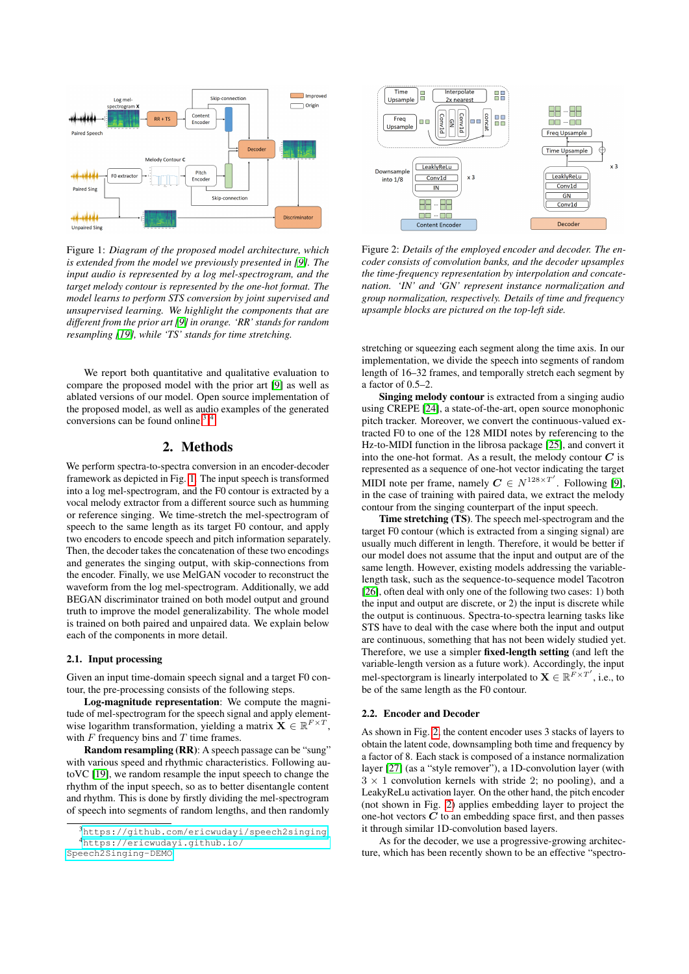<span id="page-1-2"></span>

Figure 1: *Diagram of the proposed model architecture, which is extended from the model we previously presented in [\[9\]](#page-4-8). The input audio is represented by a log mel-spectrogram, and the target melody contour is represented by the one-hot format. The model learns to perform STS conversion by joint supervised and unsupervised learning. We highlight the components that are different from the prior art [\[9\]](#page-4-8) in orange. 'RR' stands for random resampling [\[19\]](#page-4-18), while 'TS' stands for time stretching.*

We report both quantitative and qualitative evaluation to compare the proposed model with the prior art [\[9\]](#page-4-8) as well as ablated versions of our model. Open source implementation of the proposed model, as well as audio examples of the generated conversions can be found online.<sup>[3](#page-1-0),[4](#page-1-1)</sup>

### 2. Methods

We perform spectra-to-spectra conversion in an encoder-decoder framework as depicted in Fig. [1.](#page-1-2) The input speech is transformed into a log mel-spectrogram, and the F0 contour is extracted by a vocal melody extractor from a different source such as humming or reference singing. We time-stretch the mel-spectrogram of speech to the same length as its target F0 contour, and apply two encoders to encode speech and pitch information separately. Then, the decoder takes the concatenation of these two encodings and generates the singing output, with skip-connections from the encoder. Finally, we use MelGAN vocoder to reconstruct the waveform from the log mel-spectrogram. Additionally, we add BEGAN discriminator trained on both model output and ground truth to improve the model generalizability. The whole model is trained on both paired and unpaired data. We explain below each of the components in more detail.

#### 2.1. Input processing

Given an input time-domain speech signal and a target F0 contour, the pre-processing consists of the following steps.

Log-magnitude representation: We compute the magnitude of mel-spectrogram for the speech signal and apply elementwise logarithm transformation, yielding a matrix  $\mathbf{X} \in \mathbb{R}^{F \times T}$ , with  $F$  frequency bins and  $T$  time frames.

Random resampling (RR): A speech passage can be "sung" with various speed and rhythmic characteristics. Following autoVC [\[19\]](#page-4-18), we random resample the input speech to change the rhythm of the input speech, so as to better disentangle content and rhythm. This is done by firstly dividing the mel-spectrogram of speech into segments of random lengths, and then randomly

<span id="page-1-3"></span>

Figure 2: *Details of the employed encoder and decoder. The encoder consists of convolution banks, and the decoder upsamples the time-frequency representation by interpolation and concatenation. 'IN' and 'GN' represent instance normalization and group normalization, respectively. Details of time and frequency upsample blocks are pictured on the top-left side.*

stretching or squeezing each segment along the time axis. In our implementation, we divide the speech into segments of random length of 16–32 frames, and temporally stretch each segment by a factor of 0.5–2.

Singing melody contour is extracted from a singing audio using CREPE [\[24\]](#page-4-23), a state-of-the-art, open source monophonic pitch tracker. Moreover, we convert the continuous-valued extracted F0 to one of the 128 MIDI notes by referencing to the Hz-to-MIDI function in the librosa package [\[25\]](#page-4-24), and convert it into the one-hot format. As a result, the melody contour  $C$  is represented as a sequence of one-hot vector indicating the target MIDI note per frame, namely  $C \in N^{128 \times T'}$ . Following [\[9\]](#page-4-8), in the case of training with paired data, we extract the melody contour from the singing counterpart of the input speech.

Time stretching (TS). The speech mel-spectrogram and the target F0 contour (which is extracted from a singing signal) are usually much different in length. Therefore, it would be better if our model does not assume that the input and output are of the same length. However, existing models addressing the variablelength task, such as the sequence-to-sequence model Tacotron [\[26\]](#page-4-25), often deal with only one of the following two cases: 1) both the input and output are discrete, or 2) the input is discrete while the output is continuous. Spectra-to-spectra learning tasks like STS have to deal with the case where both the input and output are continuous, something that has not been widely studied yet. Therefore, we use a simpler fixed-length setting (and left the variable-length version as a future work). Accordingly, the input mel-spectorgram is linearly interpolated to  $\mathbf{X} \in \mathbb{R}^{F \times T'}$ , i.e., to be of the same length as the F0 contour.

### 2.2. Encoder and Decoder

As shown in Fig. [2,](#page-1-3) the content encoder uses 3 stacks of layers to obtain the latent code, downsampling both time and frequency by a factor of 8. Each stack is composed of a instance normalization layer [\[27\]](#page-4-26) (as a "style remover"), a 1D-convolution layer (with  $3 \times 1$  convolution kernels with stride 2; no pooling), and a LeakyReLu activation layer. On the other hand, the pitch encoder (not shown in Fig. [2\)](#page-1-3) applies embedding layer to project the one-hot vectors  $C$  to an embedding space first, and then passes it through similar 1D-convolution based layers.

As for the decoder, we use a progressive-growing architecture, which has been recently shown to be an effective "spectro-

<span id="page-1-1"></span><span id="page-1-0"></span><sup>3</sup><https://github.com/ericwudayi/speech2singing> <sup>4</sup>[https://ericwudayi.github.io/](https://ericwudayi.github.io/Speech2Singing-DEMO) [Speech2Singing-DEMO](https://ericwudayi.github.io/Speech2Singing-DEMO)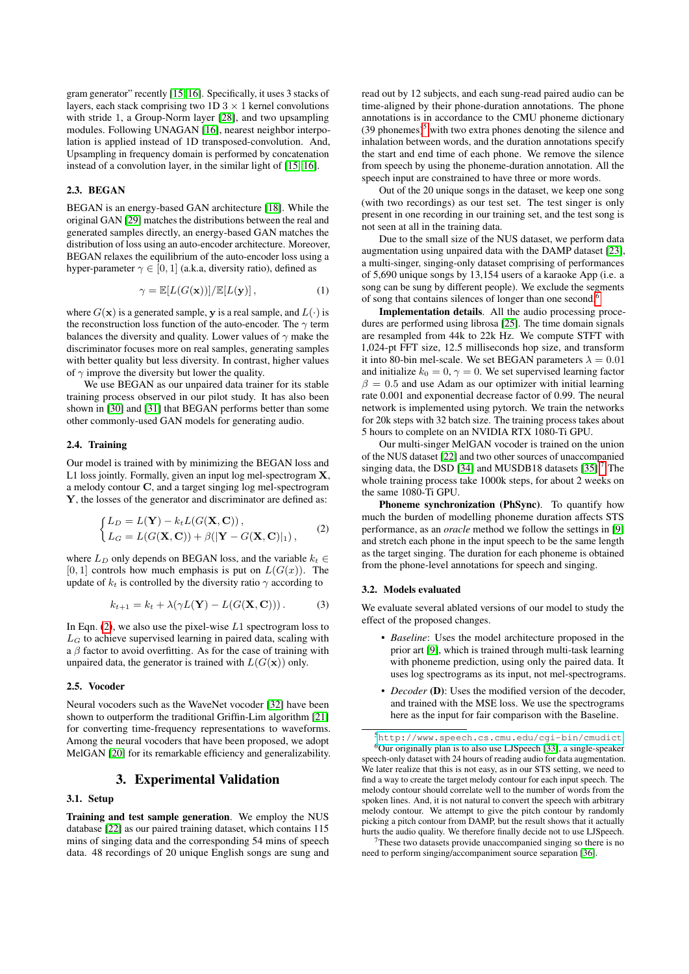gram generator" recently [\[15,](#page-4-14) [16\]](#page-4-15). Specifically, it uses 3 stacks of layers, each stack comprising two  $1D\ 3 \times 1$  kernel convolutions with stride 1, a Group-Norm layer [\[28\]](#page-4-27), and two upsampling modules. Following UNAGAN [\[16\]](#page-4-15), nearest neighbor interpolation is applied instead of 1D transposed-convolution. And, Upsampling in frequency domain is performed by concatenation instead of a convolution layer, in the similar light of [\[15,](#page-4-14) [16\]](#page-4-15).

#### 2.3. BEGAN

BEGAN is an energy-based GAN architecture [\[18\]](#page-4-17). While the original GAN [\[29\]](#page-4-28) matches the distributions between the real and generated samples directly, an energy-based GAN matches the distribution of loss using an auto-encoder architecture. Moreover, BEGAN relaxes the equilibrium of the auto-encoder loss using a hyper-parameter  $\gamma \in [0, 1]$  (a.k.a, diversity ratio), defined as

$$
\gamma = \mathbb{E}[L(G(\mathbf{x}))]/\mathbb{E}[L(\mathbf{y})],\tag{1}
$$

where  $G(\mathbf{x})$  is a generated sample, y is a real sample, and  $L(\cdot)$  is the reconstruction loss function of the auto-encoder. The  $\gamma$  term balances the diversity and quality. Lower values of  $\gamma$  make the discriminator focuses more on real samples, generating samples with better quality but less diversity. In contrast, higher values of  $\gamma$  improve the diversity but lower the quality.

We use BEGAN as our unpaired data trainer for its stable training process observed in our pilot study. It has also been shown in [\[30\]](#page-4-29) and [\[31\]](#page-4-30) that BEGAN performs better than some other commonly-used GAN models for generating audio.

### 2.4. Training

Our model is trained with by minimizing the BEGAN loss and L1 loss jointly. Formally, given an input log mel-spectrogram **X**, a melody contour C, and a target singing log mel-spectrogram Y, the losses of the generator and discriminator are defined as:

<span id="page-2-0"></span>
$$
\begin{cases}\nL_D = L(\mathbf{Y}) - k_t L(G(\mathbf{X}, \mathbf{C})), \\
L_G = L(G(\mathbf{X}, \mathbf{C})) + \beta(|\mathbf{Y} - G(\mathbf{X}, \mathbf{C})|_1),\n\end{cases} (2)
$$

where  $L_D$  only depends on BEGAN loss, and the variable  $k_t \in$  $[0, 1]$  controls how much emphasis is put on  $L(G(x))$ . The update of  $k_t$  is controlled by the diversity ratio  $\gamma$  according to

$$
k_{t+1} = k_t + \lambda(\gamma L(\mathbf{Y}) - L(G(\mathbf{X}, \mathbf{C}))).
$$
 (3)

In Eqn.  $(2)$ , we also use the pixel-wise L1 spectrogram loss to  $L_G$  to achieve supervised learning in paired data, scaling with a  $\beta$  factor to avoid overfitting. As for the case of training with unpaired data, the generator is trained with  $L(G(\mathbf{x}))$  only.

### 2.5. Vocoder

Neural vocoders such as the WaveNet vocoder [\[32\]](#page-4-31) have been shown to outperform the traditional Griffin-Lim algorithm [\[21\]](#page-4-20) for converting time-frequency representations to waveforms. Among the neural vocoders that have been proposed, we adopt MelGAN [\[20\]](#page-4-19) for its remarkable efficiency and generalizability.

### 3. Experimental Validation

#### 3.1. Setup

Training and test sample generation. We employ the NUS database [\[22\]](#page-4-21) as our paired training dataset, which contains 115 mins of singing data and the corresponding 54 mins of speech data. 48 recordings of 20 unique English songs are sung and read out by 12 subjects, and each sung-read paired audio can be time-aligned by their phone-duration annotations. The phone annotations is in accordance to the CMU phoneme dictionary  $(39$  phonemes)<sup>[5](#page-2-1)</sup> with two extra phones denoting the silence and inhalation between words, and the duration annotations specify the start and end time of each phone. We remove the silence from speech by using the phoneme-duration annotation. All the speech input are constrained to have three or more words.

Out of the 20 unique songs in the dataset, we keep one song (with two recordings) as our test set. The test singer is only present in one recording in our training set, and the test song is not seen at all in the training data.

Due to the small size of the NUS dataset, we perform data augmentation using unpaired data with the DAMP dataset [\[23\]](#page-4-22), a multi-singer, singing-only dataset comprising of performances of 5,690 unique songs by 13,154 users of a karaoke App (i.e. a song can be sung by different people). We exclude the segments of song that contains silences of longer than one second.<sup>[6](#page-2-2)</sup>

Implementation details. All the audio processing procedures are performed using librosa [\[25\]](#page-4-24). The time domain signals are resampled from 44k to 22k Hz. We compute STFT with 1,024-pt FFT size, 12.5 milliseconds hop size, and transform it into 80-bin mel-scale. We set BEGAN parameters  $\lambda = 0.01$ and initialize  $k_0 = 0$ ,  $\gamma = 0$ . We set supervised learning factor  $\beta = 0.5$  and use Adam as our optimizer with initial learning rate 0.001 and exponential decrease factor of 0.99. The neural network is implemented using pytorch. We train the networks for 20k steps with 32 batch size. The training process takes about 5 hours to complete on an NVIDIA RTX 1080-Ti GPU.

Our multi-singer MelGAN vocoder is trained on the union of the NUS dataset [\[22\]](#page-4-21) and two other sources of unaccompanied singing data, the DSD [\[34\]](#page-4-32) and MUSDB18 datasets  $[35]$ .<sup>[7](#page-2-3)</sup> The whole training process take 1000k steps, for about 2 weeks on the same 1080-Ti GPU.

Phoneme synchronization (PhSync). To quantify how much the burden of modelling phoneme duration affects STS performance, as an *oracle* method we follow the settings in [\[9\]](#page-4-8) and stretch each phone in the input speech to be the same length as the target singing. The duration for each phoneme is obtained from the phone-level annotations for speech and singing.

#### 3.2. Models evaluated

We evaluate several ablated versions of our model to study the effect of the proposed changes.

- *Baseline*: Uses the model architecture proposed in the prior art [\[9\]](#page-4-8), which is trained through multi-task learning with phoneme prediction, using only the paired data. It uses log spectrograms as its input, not mel-spectrograms.
- *Decoder* (D): Uses the modified version of the decoder, and trained with the MSE loss. We use the spectrograms here as the input for fair comparison with the Baseline.

<span id="page-2-3"></span><sup>7</sup>These two datasets provide unaccompanied singing so there is no need to perform singing/accompaniment source separation [\[36\]](#page-4-35).

<span id="page-2-2"></span><span id="page-2-1"></span><sup>5</sup><http://www.speech.cs.cmu.edu/cgi-bin/cmudict> <sup>6</sup>Our originally plan is to also use LJSpeech [\[33\]](#page-4-34), a single-speaker speech-only dataset with 24 hours of reading audio for data augmentation. We later realize that this is not easy, as in our STS setting, we need to find a way to create the target melody contour for each input speech. The melody contour should correlate well to the number of words from the spoken lines. And, it is not natural to convert the speech with arbitrary melody contour. We attempt to give the pitch contour by randomly picking a pitch contour from DAMP, but the result shows that it actually hurts the audio quality. We therefore finally decide not to use LJSpeech.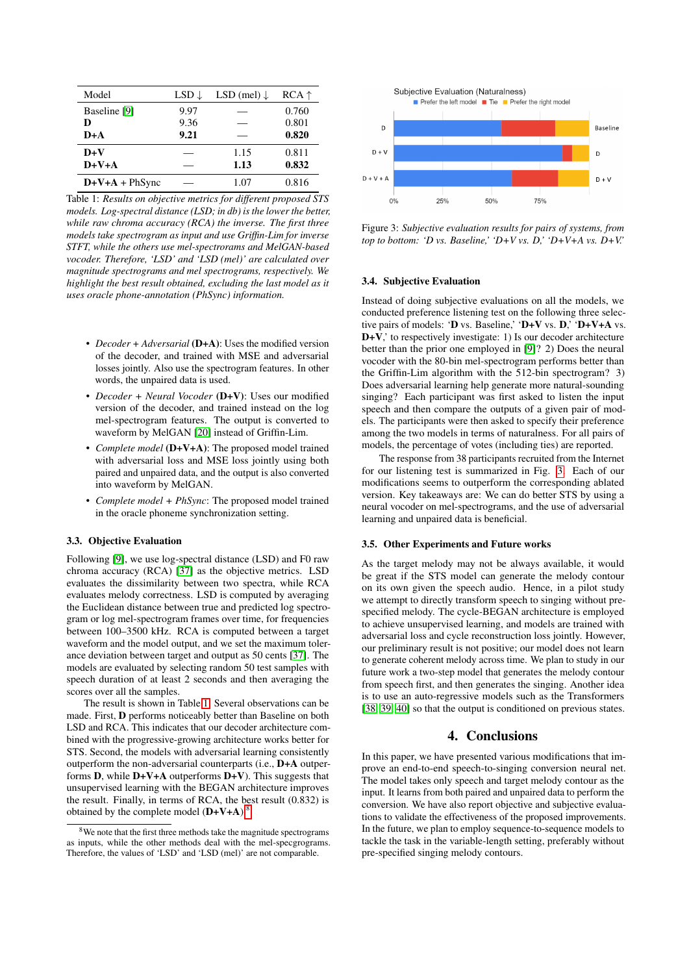<span id="page-3-0"></span>

| Model          | $LSD \downarrow$ | LSD (mel) $\downarrow$ | $RCA \uparrow$ |
|----------------|------------------|------------------------|----------------|
| Baseline [9]   | 9.97             |                        | 0.760          |
| D              | 9.36             |                        | 0.801          |
| $D+A$          | 9.21             |                        | 0.820          |
| $D+V$          |                  | 1.15                   | 0.811          |
| $D+V+A$        |                  | 1.13                   | 0.832          |
| $D+V+A+PhSync$ |                  | 1.07                   | 0.816          |

Table 1: *Results on objective metrics for different proposed STS models. Log-spectral distance (LSD; in db) is the lower the better, while raw chroma accuracy (RCA) the inverse. The first three models take spectrogram as input and use Griffin-Lim for inverse STFT, while the others use mel-spectrorams and MelGAN-based vocoder. Therefore, 'LSD' and 'LSD (mel)' are calculated over magnitude spectrograms and mel spectrograms, respectively. We highlight the best result obtained, excluding the last model as it uses oracle phone-annotation (PhSync) information.*

- *Decoder* + *Adversarial* (D+A): Uses the modified version of the decoder, and trained with MSE and adversarial losses jointly. Also use the spectrogram features. In other words, the unpaired data is used.
- *Decoder + Neural Vocoder* (D+V): Uses our modified version of the decoder, and trained instead on the log mel-spectrogram features. The output is converted to waveform by MelGAN [\[20\]](#page-4-19) instead of Griffin-Lim.
- *Complete model* (D+V+A): The proposed model trained with adversarial loss and MSE loss jointly using both paired and unpaired data, and the output is also converted into waveform by MelGAN.
- *Complete model + PhSync*: The proposed model trained in the oracle phoneme synchronization setting.

#### 3.3. Objective Evaluation

Following [\[9\]](#page-4-8), we use log-spectral distance (LSD) and F0 raw chroma accuracy (RCA) [\[37\]](#page-4-36) as the objective metrics. LSD evaluates the dissimilarity between two spectra, while RCA evaluates melody correctness. LSD is computed by averaging the Euclidean distance between true and predicted log spectrogram or log mel-spectrogram frames over time, for frequencies between 100–3500 kHz. RCA is computed between a target waveform and the model output, and we set the maximum tolerance deviation between target and output as 50 cents [\[37\]](#page-4-36). The models are evaluated by selecting random 50 test samples with speech duration of at least 2 seconds and then averaging the scores over all the samples.

The result is shown in Table [1.](#page-3-0) Several observations can be made. First, D performs noticeably better than Baseline on both LSD and RCA. This indicates that our decoder architecture combined with the progressive-growing architecture works better for STS. Second, the models with adversarial learning consistently outperform the non-adversarial counterparts (i.e., D+A outperforms **D**, while  $D+V+A$  outperforms  $D+V$ ). This suggests that unsupervised learning with the BEGAN architecture improves the result. Finally, in terms of RCA, the best result (0.832) is obtained by the complete model  $(D+V+A)$ .<sup>[8](#page-3-1)</sup>

<span id="page-3-2"></span>

Figure 3: *Subjective evaluation results for pairs of systems, from top to bottom: 'D vs. Baseline,' 'D+V vs. D,' 'D+V+A vs. D+V.'*

#### 3.4. Subjective Evaluation

Instead of doing subjective evaluations on all the models, we conducted preference listening test on the following three selective pairs of models: 'D vs. Baseline,' 'D+V vs. D,' 'D+V+A vs. D+V,' to respectively investigate: 1) Is our decoder architecture better than the prior one employed in [\[9\]](#page-4-8)? 2) Does the neural vocoder with the 80-bin mel-spectrogram performs better than the Griffin-Lim algorithm with the 512-bin spectrogram? 3) Does adversarial learning help generate more natural-sounding singing? Each participant was first asked to listen the input speech and then compare the outputs of a given pair of models. The participants were then asked to specify their preference among the two models in terms of naturalness. For all pairs of models, the percentage of votes (including ties) are reported.

The response from 38 participants recruited from the Internet for our listening test is summarized in Fig. [3.](#page-3-2) Each of our modifications seems to outperform the corresponding ablated version. Key takeaways are: We can do better STS by using a neural vocoder on mel-spectrograms, and the use of adversarial learning and unpaired data is beneficial.

#### 3.5. Other Experiments and Future works

As the target melody may not be always available, it would be great if the STS model can generate the melody contour on its own given the speech audio. Hence, in a pilot study we attempt to directly transform speech to singing without prespecified melody. The cycle-BEGAN architecture is employed to achieve unsupervised learning, and models are trained with adversarial loss and cycle reconstruction loss jointly. However, our preliminary result is not positive; our model does not learn to generate coherent melody across time. We plan to study in our future work a two-step model that generates the melody contour from speech first, and then generates the singing. Another idea is to use an auto-regressive models such as the Transformers [\[38,](#page-4-37) [39,](#page-4-38) [40\]](#page-4-39) so that the output is conditioned on previous states.

### 4. Conclusions

In this paper, we have presented various modifications that improve an end-to-end speech-to-singing conversion neural net. The model takes only speech and target melody contour as the input. It learns from both paired and unpaired data to perform the conversion. We have also report objective and subjective evaluations to validate the effectiveness of the proposed improvements. In the future, we plan to employ sequence-to-sequence models to tackle the task in the variable-length setting, preferably without pre-specified singing melody contours.

<span id="page-3-1"></span> $8W$ e note that the first three methods take the magnitude spectrograms as inputs, while the other methods deal with the mel-specgrograms. Therefore, the values of 'LSD' and 'LSD (mel)' are not comparable.